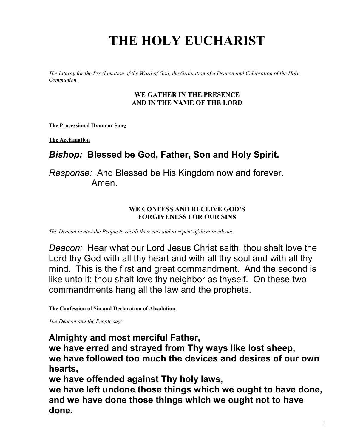# **THE HOLY EUCHARIST**

*The Liturgy for the Proclamation of the Word of God, the Ordination of a Deacon and Celebration of the Holy Communion.*

#### **WE GATHER IN THE PRESENCE AND IN THE NAME OF THE LORD**

**The Processional Hymn or Song**

**The Acclamation**

## *Bishop:* **Blessed be God, Father, Son and Holy Spirit.**

*Response:* And Blessed be His Kingdom now and forever. Amen.

#### **WE CONFESS AND RECEIVE GOD'S FORGIVENESS FOR OUR SINS**

*The Deacon invites the People to recall their sins and to repent of them in silence.*

*Deacon:* Hear what our Lord Jesus Christ saith; thou shalt love the Lord thy God with all thy heart and with all thy soul and with all thy mind. This is the first and great commandment. And the second is like unto it; thou shalt love thy neighbor as thyself. On these two commandments hang all the law and the prophets.

**The Confession of Sin and Declaration of Absolution**

*The Deacon and the People say:*

**Almighty and most merciful Father,**

**we have erred and strayed from Thy ways like lost sheep, we have followed too much the devices and desires of our own hearts,**

**we have offended against Thy holy laws,**

**we have left undone those things which we ought to have done, and we have done those things which we ought not to have done.**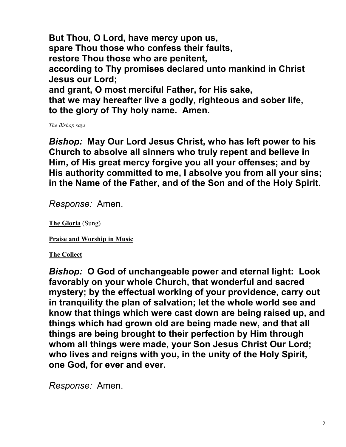**But Thou, O Lord, have mercy upon us, spare Thou those who confess their faults, restore Thou those who are penitent, according to Thy promises declared unto mankind in Christ Jesus our Lord; and grant, O most merciful Father, for His sake, that we may hereafter live a godly, righteous and sober life, to the glory of Thy holy name. Amen.**

*The Bishop says*

*Bishop:* **May Our Lord Jesus Christ, who has left power to his Church to absolve all sinners who truly repent and believe in Him, of His great mercy forgive you all your offenses; and by His authority committed to me, I absolve you from all your sins; in the Name of the Father, and of the Son and of the Holy Spirit.**

*Response:* Amen.

**The Gloria** (Sung)

**Praise and Worship in Music**

**The Collect**

*Bishop:* **O God of unchangeable power and eternal light: Look favorably on your whole Church, that wonderful and sacred mystery; by the effectual working of your providence, carry out in tranquility the plan of salvation; let the whole world see and know that things which were cast down are being raised up, and things which had grown old are being made new, and that all things are being brought to their perfection by Him through whom all things were made, your Son Jesus Christ Our Lord; who lives and reigns with you, in the unity of the Holy Spirit, one God, for ever and ever.**

*Response:* Amen.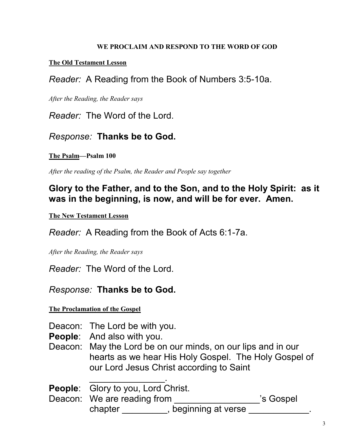#### **WE PROCLAIM AND RESPOND TO THE WORD OF GOD**

#### **The Old Testament Lesson**

*Reader:* A Reading from the Book of Numbers 3:5-10a.

*After the Reading, the Reader says*

*Reader:* The Word of the Lord.

#### *Response:* **Thanks be to God.**

#### **The Psalm—Psalm 100**

*After the reading of the Psalm, the Reader and People say together*

## **Glory to the Father, and to the Son, and to the Holy Spirit: as it was in the beginning, is now, and will be for ever. Amen.**

**The New Testament Lesson**

*Reader:* A Reading from the Book of Acts 6:1-7a.

*After the Reading, the Reader says*

*Reader:* The Word of the Lord.

#### *Response:* **Thanks be to God.**

**The Proclamation of the Gospel**

Deacon: The Lord be with you.

**People**: And also with you.

Deacon: May the Lord be on our minds, on our lips and in our hearts as we hear His Holy Gospel. The Holy Gospel of our Lord Jesus Christ according to Saint

 $\overline{\phantom{a}}$  , where  $\overline{\phantom{a}}$ **People**: Glory to you, Lord Christ.

People. Glory to you, Lord Crimst.<br>Deacon: We are reading from \_\_\_\_\_\_\_\_\_\_\_\_\_\_\_\_\_\_'s Gospel chapter \_\_\_\_\_\_\_\_\_, beginning at verse \_\_\_\_\_\_\_\_\_\_\_\_.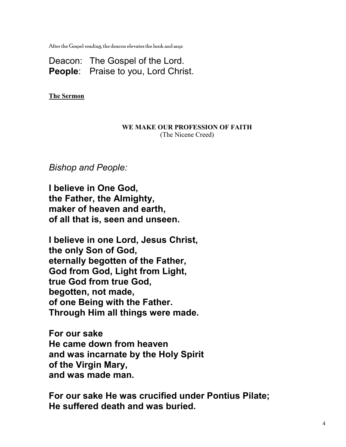After the Gospel reading, the deacon elevates the book and says:

Deacon: The Gospel of the Lord. **People**: Praise to you, Lord Christ.

**The Sermon**

#### **WE MAKE OUR PROFESSION OF FAITH** (The Nicene Creed)

*Bishop and People:*

**I believe in One God, the Father, the Almighty, maker of heaven and earth, of all that is, seen and unseen.**

**I believe in one Lord, Jesus Christ, the only Son of God, eternally begotten of the Father, God from God, Light from Light, true God from true God, begotten, not made, of one Being with the Father. Through Him all things were made.**

**For our sake He came down from heaven and was incarnate by the Holy Spirit of the Virgin Mary, and was made man.**

**For our sake He was crucified under Pontius Pilate; He suffered death and was buried.**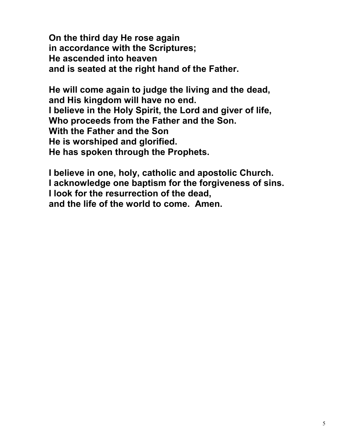**On the third day He rose again in accordance with the Scriptures; He ascended into heaven and is seated at the right hand of the Father.**

**He will come again to judge the living and the dead, and His kingdom will have no end. I believe in the Holy Spirit, the Lord and giver of life, Who proceeds from the Father and the Son. With the Father and the Son He is worshiped and glorified. He has spoken through the Prophets.**

**I believe in one, holy, catholic and apostolic Church. I acknowledge one baptism for the forgiveness of sins. I look for the resurrection of the dead, and the life of the world to come. Amen.**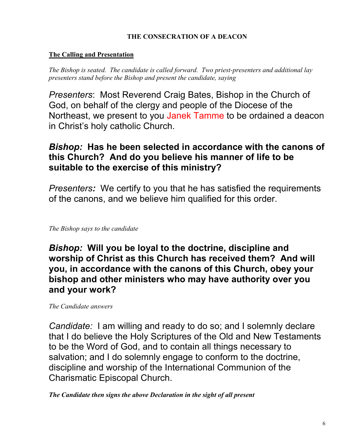#### **THE CONSECRATION OF A DEACON**

#### **The Calling and Presentation**

*The Bishop is seated. The candidate is called forward. Two priest-presenters and additional lay presenters stand before the Bishop and present the candidate, saying*

*Presenters*:Most Reverend Craig Bates, Bishop in the Church of God, on behalf of the clergy and people of the Diocese of the Northeast, we present to you Janek Tamme to be ordained a deacon in Christ's holy catholic Church.

## *Bishop:* **Has he been selected in accordance with the canons of this Church? And do you believe his manner of life to be suitable to the exercise of this ministry?**

*Presenters:* We certify to you that he has satisfied the requirements of the canons, and we believe him qualified for this order.

*The Bishop says to the candidate*

*Bishop:* **Will you be loyal to the doctrine, discipline and worship of Christ as this Church has received them? And will you, in accordance with the canons of this Church, obey your bishop and other ministers who may have authority over you and your work?**

*The Candidate answers*

*Candidate:* I am willing and ready to do so; and I solemnly declare that I do believe the Holy Scriptures of the Old and New Testaments to be the Word of God, and to contain all things necessary to salvation; and I do solemnly engage to conform to the doctrine, discipline and worship of the International Communion of the Charismatic Episcopal Church.

*The Candidate then signs the above Declaration in the sight of all present*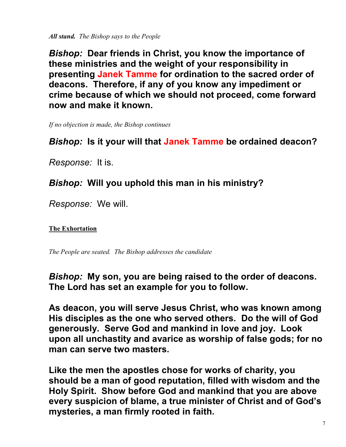*All stand. The Bishop says to the People*

*Bishop:* **Dear friends in Christ, you know the importance of these ministries and the weight of your responsibility in presenting Janek Tamme for ordination to the sacred order of deacons. Therefore, if any of you know any impediment or crime because of which we should not proceed, come forward now and make it known.**

*If no objection is made, the Bishop continues*

## *Bishop:* **Is it your will that Janek Tamme be ordained deacon?**

*Response:* It is.

## *Bishop:* **Will you uphold this man in his ministry?**

*Response:* We will.

#### **The Exhortation**

*The People are seated. The Bishop addresses the candidate*

*Bishop:* **My son, you are being raised to the order of deacons. The Lord has set an example for you to follow.**

**As deacon, you will serve Jesus Christ, who was known among His disciples as the one who served others. Do the will of God generously. Serve God and mankind in love and joy. Look upon all unchastity and avarice as worship of false gods; for no man can serve two masters.**

**Like the men the apostles chose for works of charity, you should be a man of good reputation, filled with wisdom and the Holy Spirit. Show before God and mankind that you are above every suspicion of blame, a true minister of Christ and of God's mysteries, a man firmly rooted in faith.**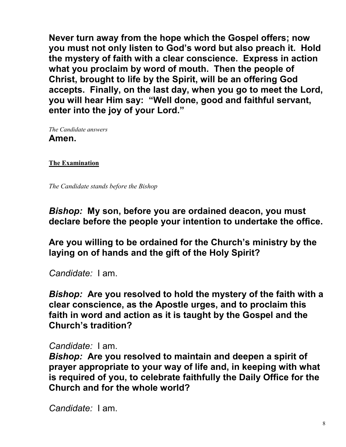**Never turn away from the hope which the Gospel offers; now you must not only listen to God's word but also preach it. Hold the mystery of faith with a clear conscience. Express in action what you proclaim by word of mouth. Then the people of Christ, brought to life by the Spirit, will be an offering God accepts. Finally, on the last day, when you go to meet the Lord, you will hear Him say: "Well done, good and faithful servant, enter into the joy of your Lord."**

*The Candidate answers* **Amen.**

**The Examination** 

*The Candidate stands before the Bishop* 

*Bishop:* **My son, before you are ordained deacon, you must declare before the people your intention to undertake the office.**

**Are you willing to be ordained for the Church's ministry by the laying on of hands and the gift of the Holy Spirit?**

*Candidate:* I am.

*Bishop:* **Are you resolved to hold the mystery of the faith with a clear conscience, as the Apostle urges, and to proclaim this faith in word and action as it is taught by the Gospel and the Church's tradition?**

*Candidate:* I am.

*Bishop:* **Are you resolved to maintain and deepen a spirit of prayer appropriate to your way of life and, in keeping with what is required of you, to celebrate faithfully the Daily Office for the Church and for the whole world?**

*Candidate:* I am.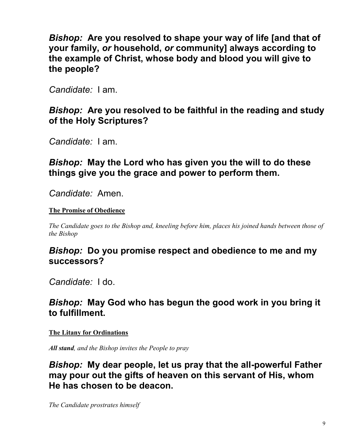*Bishop:* **Are you resolved to shape your way of life [and that of your family,** *or* **household,** *or* **community] always according to the example of Christ, whose body and blood you will give to the people?**

*Candidate:* I am.

### *Bishop:* **Are you resolved to be faithful in the reading and study of the Holy Scriptures?**

*Candidate:* I am.

*Bishop:* **May the Lord who has given you the will to do these things give you the grace and power to perform them.**

*Candidate:* Amen.

#### **The Promise of Obedience**

*The Candidate goes to the Bishop and, kneeling before him, places his joined hands between those of the Bishop*

## *Bishop:* **Do you promise respect and obedience to me and my successors?**

*Candidate:* I do.

## *Bishop:* **May God who has begun the good work in you bring it to fulfillment.**

#### **The Litany for Ordinations**

*All stand, and the Bishop invites the People to pray*

*Bishop:* **My dear people, let us pray that the all-powerful Father may pour out the gifts of heaven on this servant of His, whom He has chosen to be deacon.**

*The Candidate prostrates himself*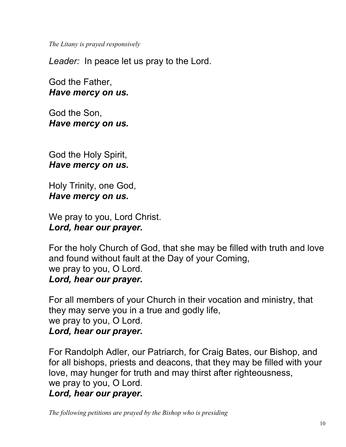*The Litany is prayed responsively*

*Leader:* In peace let us pray to the Lord.

God the Father, *Have mercy on us.*

God the Son, *Have mercy on us.*

God the Holy Spirit, *Have mercy on us.*

Holy Trinity, one God, *Have mercy on us.*

We pray to you, Lord Christ. *Lord, hear our prayer.*

For the holy Church of God, that she may be filled with truth and love and found without fault at the Day of your Coming, we pray to you, O Lord. *Lord, hear our prayer.*

For all members of your Church in their vocation and ministry, that they may serve you in a true and godly life, we pray to you, O Lord. *Lord, hear our prayer.*

For Randolph Adler, our Patriarch, for Craig Bates, our Bishop, and for all bishops, priests and deacons, that they may be filled with your love, may hunger for truth and may thirst after righteousness, we pray to you, O Lord.

#### *Lord, hear our prayer.*

*The following petitions are prayed by the Bishop who is presiding*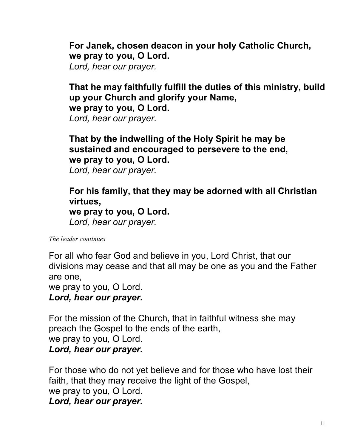**For Janek, chosen deacon in your holy Catholic Church, we pray to you, O Lord.**

*Lord, hear our prayer.*

# **That he may faithfully fulfill the duties of this ministry, build up your Church and glorify your Name, we pray to you, O Lord.**

*Lord, hear our prayer.*

# **That by the indwelling of the Holy Spirit he may be sustained and encouraged to persevere to the end, we pray to you, O Lord.**

*Lord, hear our prayer.*

# **For his family, that they may be adorned with all Christian virtues,**

**we pray to you, O Lord.** *Lord, hear our prayer.*

*The leader continues*

For all who fear God and believe in you, Lord Christ, that our divisions may cease and that all may be one as you and the Father are one,

we pray to you, O Lord.

## *Lord, hear our prayer.*

For the mission of the Church, that in faithful witness she may preach the Gospel to the ends of the earth, we pray to you, O Lord. *Lord, hear our prayer.*

For those who do not yet believe and for those who have lost their faith, that they may receive the light of the Gospel, we pray to you, O Lord. *Lord, hear our prayer.*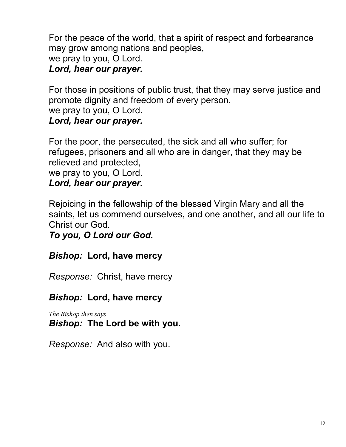For the peace of the world, that a spirit of respect and forbearance may grow among nations and peoples, we pray to you, O Lord. *Lord, hear our prayer.*

For those in positions of public trust, that they may serve justice and promote dignity and freedom of every person, we pray to you, O Lord.

## *Lord, hear our prayer.*

For the poor, the persecuted, the sick and all who suffer; for refugees, prisoners and all who are in danger, that they may be relieved and protected,

we pray to you, O Lord.

*Lord, hear our prayer.*

Rejoicing in the fellowship of the blessed Virgin Mary and all the saints, let us commend ourselves, and one another, and all our life to Christ our God.

*To you, O Lord our God.*

# *Bishop:* **Lord, have mercy**

*Response:* Christ, have mercy

# *Bishop:* **Lord, have mercy**

*The Bishop then says Bishop:* **The Lord be with you.**

*Response:* And also with you.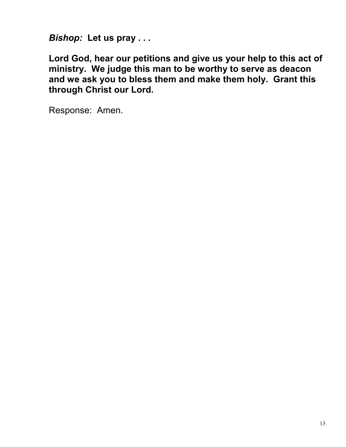*Bishop:* **Let us pray . . .**

**Lord God, hear our petitions and give us your help to this act of ministry. We judge this man to be worthy to serve as deacon and we ask you to bless them and make them holy. Grant this through Christ our Lord.**

Response: Amen.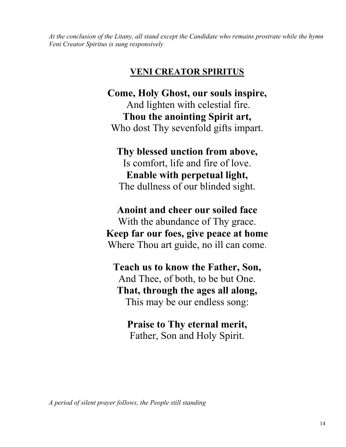*At the conclusion of the Litany, all stand except the Candidate who remains prostrate while the hymn Veni Creator Spiritus is sung responsively*

### **VENI CREATOR SPIRITUS**

**Come, Holy Ghost, our souls inspire,** And lighten with celestial fire. **Thou the anointing Spirit art,** Who dost Thy sevenfold gifts impart.

**Thy blessed unction from above,** Is comfort, life and fire of love. **Enable with perpetual light,** The dullness of our blinded sight.

**Anoint and cheer our soiled face** With the abundance of Thy grace. **Keep far our foes, give peace at home** Where Thou art guide, no ill can come.

**Teach us to know the Father, Son,** And Thee, of both, to be but One. **That, through the ages all along,** This may be our endless song:

**Praise to Thy eternal merit,** Father, Son and Holy Spirit.

*A period of silent prayer follows, the People still standing*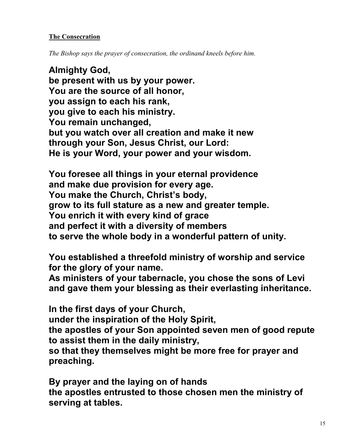#### **The Consecration**

*The Bishop says the prayer of consecration, the ordinand kneels before him.*

**Almighty God, be present with us by your power. You are the source of all honor, you assign to each his rank, you give to each his ministry. You remain unchanged, but you watch over all creation and make it new through your Son, Jesus Christ, our Lord: He is your Word, your power and your wisdom.**

**You foresee all things in your eternal providence and make due provision for every age. You make the Church, Christ's body, grow to its full stature as a new and greater temple. You enrich it with every kind of grace and perfect it with a diversity of members to serve the whole body in a wonderful pattern of unity.**

**You established a threefold ministry of worship and service for the glory of your name.**

**As ministers of your tabernacle, you chose the sons of Levi and gave them your blessing as their everlasting inheritance.**

**In the first days of your Church,**

**under the inspiration of the Holy Spirit,**

**the apostles of your Son appointed seven men of good repute to assist them in the daily ministry,**

**so that they themselves might be more free for prayer and preaching.**

**By prayer and the laying on of hands the apostles entrusted to those chosen men the ministry of serving at tables.**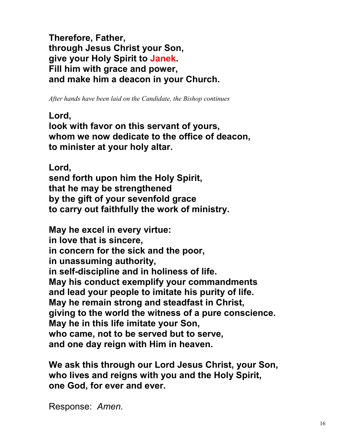**Therefore, Father, through Jesus Christ your Son, give your Holy Spirit to Janek. Fill him with grace and power, and make him a deacon in your Church.**

*After hands have been laid on the Candidate, the Bishop continues*

#### **Lord,**

**look with favor on this servant of yours, whom we now dedicate to the office of deacon, to minister at your holy altar.**

**Lord,** 

**send forth upon him the Holy Spirit, that he may be strengthened by the gift of your sevenfold grace to carry out faithfully the work of ministry.**

**May he excel in every virtue: in love that is sincere, in concern for the sick and the poor, in unassuming authority, in self-discipline and in holiness of life. May his conduct exemplify your commandments and lead your people to imitate his purity of life. May he remain strong and steadfast in Christ, giving to the world the witness of a pure conscience. May he in this life imitate your Son, who came, not to be served but to serve, and one day reign with Him in heaven.**

**We ask this through our Lord Jesus Christ, your Son, who lives and reigns with you and the Holy Spirit, one God, for ever and ever.**

Response: *Amen.*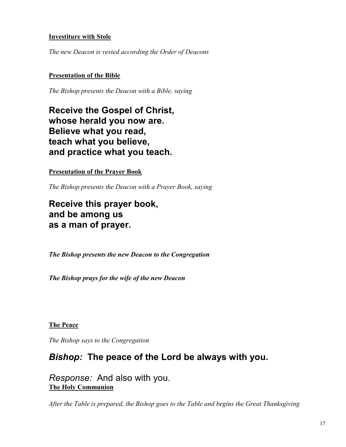#### **Investiture with Stole**

*The new Deacon is vested according the Order of Deacons*

#### **Presentation of the Bible**

*The Bishop presents the Deacon with a Bible, saying*

**Receive the Gospel of Christ, whose herald you now are. Believe what you read, teach what you believe, and practice what you teach.**

**Presentation of the Prayer Book**

*The Bishop presents the Deacon with a Prayer Book, saying*

**Receive this prayer book, and be among us as a man of prayer.**

*The Bishop presents the new Deacon to the Congregation*

*The Bishop prays for the wife of the new Deacon* 

**The Peace**

*The Bishop says to the Congregation*

#### *Bishop:* **The peace of the Lord be always with you.**

*Response:* And also with you. **The Holy Communion**

*After the Table is prepared, the Bishop goes to the Table and begins the Great Thanksgiving*